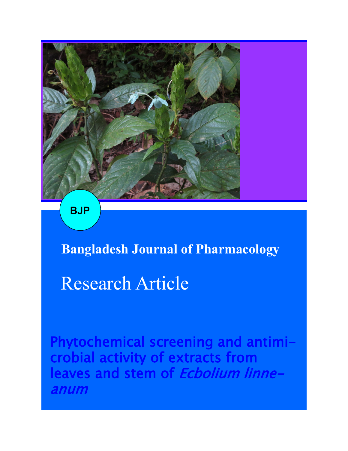

**BJP**

## **Bangladesh Journal of Pharmacology**

# Research Article

Phytochemical screening and antimicrobial activity of extracts from leaves and stem of Ecbolium linneanum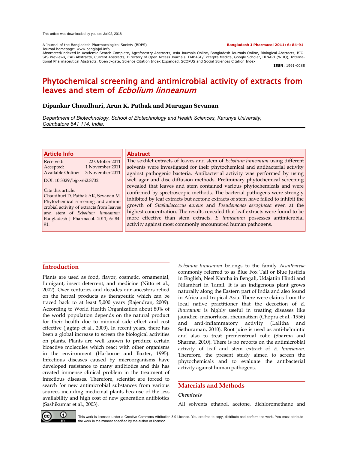A Journal of the Bangladesh Pharmacological Society (BDPS) **Bangladesh J Pharmacol 2011; 6: 84-91** Journal homepage: www.banglajol.info

Abstracted/indexed in Academic Search Complete, Agroforestry Abstracts, Asia Journals Online, Bangladesh Journals Online, Biological Abstracts, BIO-SIS Previews, CAB Abstracts, Current Abstracts, Directory of Open Access Journals, EMBASE/Excerpta Medica, Google Scholar, HINARI (WHO), International Pharmaceutical Abstracts, Open J-gate, Science Citation Index Expanded, SCOPUS and Social Sciences Citation Index

**ISSN**: 1991-0088

### Phytochemical screening and antimicrobial activity of extracts from leaves and stem of *Ecbolium linneanum*

#### **Dipankar Chaudhuri, Arun K. Pathak and Murugan Sevanan**

*Department of Biotechnology, School of Biotechnology and Health Sciences, Karunya University, Coimbatore 641 114, India.*

#### **Article Info**

Received: 22 October 2011 Accepted: 1 November 2011 Available Online: 3 November 2011

DOI: 10.3329/bjp.v6i2.8732

Cite this article: Chaudhuri D, Pathak AK, Sevanan M. Phytochemical screening and antimicrobial activity of extracts from leaves and stem of *Ecbolium linneanum.* Bangladesh J Pharmacol. 2011; 6: 84- 91.

#### **Abstract**

The soxhlet extracts of leaves and stem of *Ecbolium linneanum* using different solvents were investigated for their phytochemical and antibacterial activity against pathogenic bacteria. Antibacterial activity was performed by using well agar and disc diffusion methods. Preliminary phytochemical screening revealed that leaves and stem contained various phytochemicals and were confirmed by spectroscopic methods. The bacterial pathogens were strongly inhibited by leaf extracts but acetone extracts of stem have failed to inhibit the growth of *Staphylococcus aureus* and *Pseudomonas aeruginosa* even at the highest concentration. The results revealed that leaf extracts were found to be more effective than stem extracts. *E. linneanum* possesses antimicrobial activity against most commonly encountered human pathogens.

#### **Introduction**

Plants are used as food, flavor, cosmetic, ornamental, fumigant, insect deterrent, and medicine (Nitto et al., 2002). Over centuries and decades our ancestors relied on the herbal products as therapeutic which can be traced back to at least 5,000 years (Rajendran, 2009). According to World Health Organization about 80% of the world population depends on the natural product for their health due to minimal side effect and cost effective (Jagtap et al., 2009). In recent years, there has been a global increase to screen the biological activities on plants. Plants are well known to produce certain bioactive molecules which react with other organisms in the environment (Harborne and Baxter, 1995). Infectious diseases caused by microorganisms have developed resistance to many antibiotics and this has created immense clinical problem in the treatment of infectious diseases. Therefore, scientist are forced to search for new antimicrobial substances from various sources including medicinal plants because of the less availability and high cost of new generation antibiotics (Sashikumar et al., 2003).

*Ecbolium linneanum* belongs to the family *Acanthaceae* commonly referred to as Blue Fox Tail or Blue Justicia in English, Neel Kantha in Bengali, Udajatiin Hindi and Nilambari in Tamil. It is an indigenous plant grows naturally along the Eastern part of India and also found in Africa and tropical Asia. There were claims from the local native practitioner that the decoction of *E. linneanum* is highly useful in treating diseases like jaundice, menorrhoea, rheumatism (Chopra et al., 1956) and anti-inflammatory activity (Lalitha and Sethuraman, 2010). Root juice is used as anti-helmintic and also to treat premenstrual colic (Sharma and Sharma, 2010). There is no reports on the antimicrobial activity of leaf and stem extract of *E. linneanum*. Therefore, the present study aimed to screen the phytochemicals and to evaluate the antibacterial activity against human pathogens.

#### **Materials and Methods**

#### *Chemicals*

All solvents ethanol, acetone, dichloromethane and



This work is licensed under a Creative Commons Attribution 3.0 License. You are free to copy, distribute and perform the work. You must attribute the work in the manner specified by the author or licensor.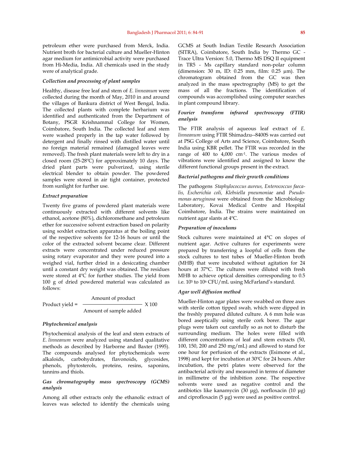petroleum ether were purchased from Merck, India. Nutrient broth for bacterial culture and Mueller-Hinton agar medium for antimicrobial activity were purchased from Hi-Media, India. All chemicals used in the study were of analytical grade.

#### *Collection and processing of plant samples*

Healthy, disease free leaf and stem of *E. linneanum* were collected during the month of May, 2010 in and around the villages of Bankura district of West Bengal, India. The collected plants with complete herbarium was identified and authenticated from the Department of Botany, PSGR Krishnammal College for Women, Coimbatore, South India. The collected leaf and stem were washed properly in the tap water followed by detergent and finally rinsed with distilled water until no foreign material remained (damaged leaves were removed). The fresh plant materials were left to dry in a closed room (25-28ºC) for approximately 10 days. The dried plant parts were pulverized, using sterile electrical blender to obtain powder. The powdered samples were stored in air tight container, protected from sunlight for further use.

#### *Extract preparation*

Twenty five grams of powdered plant materials were continuously extracted with different solvents like ethanol, acetone (80%), dichloromethane and petroleum ether for successive solvent extraction based on polarity using soxhlet extraction apparatus at the boiling point of the respective solvents for 12-16 hours or until the color of the extracted solvent became clear. Different extracts were concentrated under reduced pressure using rotary evaporator and they were poured into a weighed vial, further dried in a desiccating chamber until a constant dry weight was obtained. The residues were stored at 4ºC for further studies. The yield from 100 g of dried powdered material was calculated as follows:

 Amount of product Product yield =  $\longrightarrow$  X 100 Amount of sample added

#### *Phytochemical analysis*

Phytochemical analysis of the leaf and stem extracts of *E. linneanum* were analyzed using standard qualitative methods as described by Harborne and Baxter (1995). The compounds analysed for phytochemicals were alkaloids, carbohydrates, flavonoids, glycosides, phenols, phytosterols, proteins, resins, saponins, tannins and thiols.

#### *Gas chromatography mass spectroscopy (GCMS) analysis*

Among all other extracts only the ethanolic extract of leaves was selected to identify the chemicals using

GCMS at South Indian Textile Research Association (SITRA), Coimbatore, South India by Thermo GC - Trace Ultra Version: 5.0, Thermo MS DSQ II equipment in TR5 - Ms capillary standard non-polar column (dimension: 30 m, ID: 0.25 mm, film: 0.25 µm). The chromatogram obtained from the GC was then analyzed in the mass spectrography (MS) to get the mass of all the fractions. The identification of compounds was accomplished using computer searches in plant compound library.

#### *Fourier transform infrared spectroscopy (FTIR) analysis*

The FTIR analysis of aqueous leaf extract of *E. linneanum* using FTIR Shimadzu--8400S was carried out at PSG College of Arts and Science, Coimbatore, South India using KBR pellet. The FTIR was recorded in the range of 400 to 4,000 cm-1. The various modes of vibrations were identified and assigned to know the different functional groups present in the extract.

#### *Bacterial pathogens and their growth conditions*

The pathogens *Staphylococcus aureus, Enterococcus faecalis, Escherichia coli, Klebsiella pneumoniae* and *Pseudomonas aeruginosa* were obtained from the Microbiology Laboratory, Kovai Medical Centre and Hospital Coimbatore, India. The strains were maintained on nutrient agar slants at 4ºC.

#### *Preparation of inoculums*

Stock cultures were maintained at 4°C on slopes of nutrient agar. Active cultures for experiments were prepared by transferring a loopful of cells from the stock cultures to test tubes of Mueller-Hinton broth (MHB) that were incubated without agitation for 24 hours at 37°C. The cultures were diluted with fresh MHB to achieve optical densities corresponding to 0.5 i.e. 105 to 10<sup>6</sup> CFU/mL using McFarland's standard.

#### *Agar well diffusion method*

Mueller-Hinton agar plates were swabbed on three axes with sterile cotton tipped swab, which were dipped in the freshly prepared diluted culture. A 6 mm hole was bored aseptically using sterile cork borer. The agar plugs were taken out carefully so as not to disturb the surrounding medium. The holes were filled with different concentrations of leaf and stem extracts (50, 100, 150, 200 and 250 mg/mL) and allowed to stand for one hour for perfusion of the extracts (Esimone et al., 1998) and kept for incubation at 30ºC for 24 hours. After incubation, the petri plates were observed for the antibacterial activity and measured in terms of diameter in millimetre of the inhibition zone. The respective solvents were used as negative control and the antibiotics like kanamycin (30 μg), norfloxacin (10 μg) and ciprofloxacin (5 μg) were used as positive control.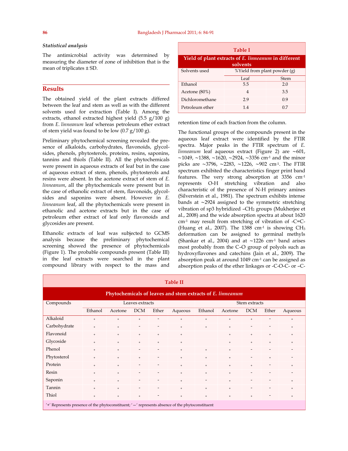#### *Statistical analysis*

The antimicrobial activity was determined by measuring the diameter of zone of inhibition that is the mean of triplicates ± SD.

#### **Results**

The obtained yield of the plant extracts differed between the leaf and stem as well as with the different solvents used for extraction (Table I). Among the extracts, ethanol extracted highest yield (5.5 g/100 g) from *E. linneanum* leaf whereas petroleum ether extract of stem yield was found to be low (0.7 g/100 g).

Preliminary phytochemical screening revealed the presence of alkaloids, carbohydrates, flavonoids, glycolsides, phenols, phytosterols, proteins, resins, saponins, tannins and thiols (Table II). All the phytochemicals were present in aqueous extracts of leaf but in the case of aqueous extract of stem, phenols, phytosterols and resins were absent. In the acetone extract of stem of *E. linneanum*, all the phytochemicals were present but in the case of ethanolic extract of stem, flavonoids, glycolsides and saponins were absent. However in *E. linneanum* leaf, all the phytochemicals were present in ethanolic and acetone extracts but in the case of petroleum ether extract of leaf only flavonoids and glycosides are present.

Ethanolic extracts of leaf was subjected to GCMS analysis because the preliminary phytochemical screening showed the presence of phytochemicals (Figure 1). The probable compounds present (Table III) in the leaf extracts were searched in the plant compound library with respect to the mass and

| <b>Table I</b>                                                   |                              |     |  |  |  |  |
|------------------------------------------------------------------|------------------------------|-----|--|--|--|--|
| Yield of plant extracts of E. linneanum in different<br>solvents |                              |     |  |  |  |  |
| Solvents used                                                    | %Yield from plant powder (g) |     |  |  |  |  |
|                                                                  | Leaf<br>Stem                 |     |  |  |  |  |
| Ethanol                                                          | 55                           | 20  |  |  |  |  |
| Acetone (80%)                                                    | $\overline{4}$               | 35  |  |  |  |  |
| Dichloromethane                                                  | 29                           | 09  |  |  |  |  |
| Petroleum ether                                                  | 14                           | 0.7 |  |  |  |  |

retention time of each fraction from the column.

The functional groups of the compounds present in the aqueous leaf extract were identified by the FTIR spectra. Major peaks in the FTIR spectrum of *E. linneanum* leaf aqueous extract (Figure 2) are ∼601, ∼1049, ∼1388, ∼1620, ∼2924, ∼3356 cm-1 and the minor picks are ∼3796, ∼2283, ∼1226, ∼902 cm-1. The FTIR spectrum exhibited the characteristics finger print band features. The very strong absorption at 3356 cm-1 represents O-H stretching vibration and also characteristic of the presence of N-H primary amines (Silverstein et al., 1981). The spectrum exhibits intense bands at ∼2924 assigned to the symmetric stretching vibration of sp3 hybridized –CH<sub>2</sub> groups (Mukherjee et al., 2008) and the wide absorption spectra at about 1620 cm-1 may result from stretching of vibration of -C=C- (Huang et al., 2007). The  $1388 \text{ cm}^{-1}$  is showing  $CH_3$ deformation can be assigned to germinal methyls (Shankar et al., 2004) and at ∼1226 cm-1 band arises most probably from the C–O group of polyols such as hydroxyflavones and catechins (Jain et al., 2009). The absorption peak at around 1049 cm-1 can be assigned as absorption peaks of the ether linkages or -C-O-C- or –C-

| <b>Table II</b>                                                                                          |                 |           |                          |                              |               |           |                   |            |                          |                                  |
|----------------------------------------------------------------------------------------------------------|-----------------|-----------|--------------------------|------------------------------|---------------|-----------|-------------------|------------|--------------------------|----------------------------------|
| Phytochemicals of leaves and stem extracts of E. linneanum                                               |                 |           |                          |                              |               |           |                   |            |                          |                                  |
| Compounds                                                                                                | Leaves extracts |           |                          |                              | Stem extracts |           |                   |            |                          |                                  |
|                                                                                                          | Ethanol         | Acetone   | <b>DCM</b>               | Ether                        | Aqueous       | Ethanol   | Acetone           | <b>DCM</b> | Ether                    | Aqueous                          |
| Alkaloid                                                                                                 | $+$             | $+$       | $+$                      | $\overline{\phantom{a}}$     | $+$           | $\ddot{}$ | $+$               | $^{+}$     | $\overline{\phantom{a}}$ | $^{+}$                           |
| Carbohydrate                                                                                             | $+$             | $+$       |                          |                              | $\ddot{}$     | $+$       | $+$               |            |                          | $+$                              |
| Flavonoid                                                                                                | $+$             | $+$       | $+$                      | $^{+}$                       | $\ddot{}$     |           | $+$               | $^{+}$     | $^{+}$                   | $+$                              |
| Glycoside                                                                                                | $+$             | $^{+}$    | $+$                      | $+$                          | $^{+}$        |           | $+$               | $^{+}$     | $^{+}$                   | $^{+}$                           |
| Phenol                                                                                                   | $+$             | $^{+}$    |                          |                              | $\ddot{}$     | $+$       | $+$               |            |                          |                                  |
| Phytosterol                                                                                              | $+$             | $+$       | $+$                      |                              | $\ddot{}$     | $+$       | $\qquad \qquad +$ |            | $+$                      |                                  |
| Protein                                                                                                  | $+$             | $\ddot{}$ | $\overline{\phantom{0}}$ | $\overline{\phantom{0}}$     | $\ddot{}$     | $\ddot{}$ | $+$               | $^{+}$     |                          | $^{+}$                           |
| Resin                                                                                                    | $+$             | $\ddot{}$ |                          | $\overline{\phantom{0}}$     | $\ddot{}$     | $\ddot{}$ | $+$               |            |                          |                                  |
| Saponin                                                                                                  | $+$             | $+$       |                          |                              | $\ddot{}$     |           | $\qquad \qquad +$ |            |                          | $\begin{array}{c} + \end{array}$ |
| Tannin                                                                                                   | $+$             | $+$       |                          |                              | $\ddot{}$     | $+$       | $+$               |            |                          | $+$                              |
| Thiol                                                                                                    | $^{+}$          | $\ddot{}$ | $+$                      | $\qquad \qquad \blacksquare$ | $\ddot{}$     | $\ddot{}$ | $^{+}$            | $\ddot{}$  |                          | $\ddot{}$                        |
| $'$ +' Represents presence of the phytoconstituent; $'$ - $'$ represents absence of the phytoconstituent |                 |           |                          |                              |               |           |                   |            |                          |                                  |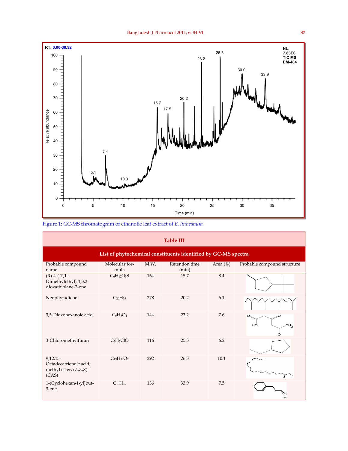

Figure 1: GC-MS chromatogram of ethanolic leaf extract of *E. linneanum*

| <b>Table III</b>                                                        |                                   |      |                         |             |                                  |  |  |
|-------------------------------------------------------------------------|-----------------------------------|------|-------------------------|-------------|----------------------------------|--|--|
| List of phytochemical constituents identified by GC-MS spectra          |                                   |      |                         |             |                                  |  |  |
| Probable compound<br>name                                               | Molecular for-<br>mula            | M.W. | Retention time<br>(min) | Area $(\%)$ | Probable compound structure      |  |  |
| $(R)$ -4- $(1',1'$ -<br>Dimethylethyl)-1,3,2-<br>dioxathiolane-2-one    | $C_6H_{12}O_3S$                   | 164  | 15.7                    | 8.4         |                                  |  |  |
| Neophytadiene                                                           | C <sub>20</sub> H <sub>38</sub>   | 278  | 20.2                    | 6.1         |                                  |  |  |
| 3,5-Dioxohexanoic acid                                                  | $C_6H_8O_4$                       | 144  | 23.2                    | 7.6         | $\circ$<br>HÔ<br>CH <sub>2</sub> |  |  |
| 3-Chloromethylfuran                                                     | C <sub>5</sub> H <sub>5</sub> ClO | 116  | 25.3                    | 6.2         |                                  |  |  |
| $9,12,15-$<br>Octadecatrienoic acid,<br>methyl ester, (Z,Z,Z)-<br>(CAS) | $C_{19}H_{32}O_2$                 | 292  | 26.3                    | 10.1        |                                  |  |  |
| 1-(Cyclohexan-1-yl)but-<br>3-ene                                        | $C_{10}H_{16}$                    | 136  | 33.9                    | 7.5         |                                  |  |  |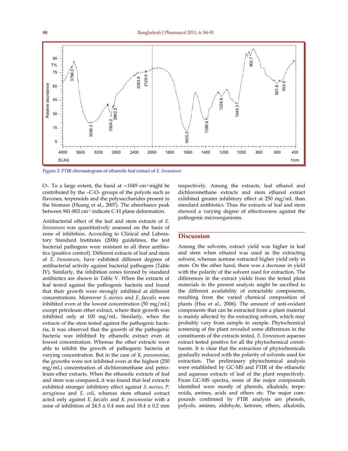

Figure 2: FTIR chromatogram of ethanolic leaf extract of *E. linneanum* 

O-. To a large extent, the band at ∼1049 cm-1 might be contributed by the –C-O- groups of the polyols such as flavones, terpenoids and the polysaccharides present in the biomass (Huang et al., 2007). The absorbance peak between 941-803 cm-1 indicate C-H plane deformation.

Antibacterial effect of the leaf and stem extracts of *E. linneanum* was quantitatively assessed on the basis of zone of inhibition. According to Clinical and Laboratory Standard Institutes (2006) guidelines, the test bacterial pathogens were resistant to all three antibiotics (positive control). Different extracts of leaf and stem of *E. linneanum*, have exhibited different degrees of antibacterial activity against bacterial pathogens (Table IV). Similarly, the inhibition zones formed by standard antibiotics are shown in Table V. When the extracts of leaf tested against the pathogenic bacteria and found that their growth were strongly inhibited at different concentrations. Moreover *S. aureus* and *E. faecalis* were inhibited even at the lowest concentration (50 mg/mL) except petroleum ether extract, where their growth was inhibited only at 100 mg/mL. Similarly, when the extracts of the stem tested against the pathogenic bacteria, it was observed that the growth of the pathogenic bacteria was inhibited by ethanolic extract even at lowest concentration. Whereas the other extracts were able to inhibit the growth of pathogenic bacteria at varying concentration. But in the case of *K. pneumoniae*, the growths were not inhibited even at the highest (250 mg/mL) concentration of dichloromethane and petroleum ether extracts. When the ethanolic extracts of leaf and stem was compared, it was found that leaf extracts exhibited stronger inhibitory effect against *S. aureus, P. aeruginosa* and *E. coli*, whereas stem ethanol extract acted only against *E. faecalis* and *K. pneumoniae* with a zone of inhibition of  $24.5 \pm 0.4$  mm and  $18.4 \pm 0.2$  mm

respectively. Among the extracts, leaf ethanol and dichloromethane extracts and stem ethanol extract exhibited greater inhibitory effect at 250 mg/mL than standard antibiotics. Thus the extracts of leaf and stem showed a varying degree of effectiveness against the pathogenic microorganisms.

#### **Discussion**

Among the solvents, extract yield was higher in leaf and stem when ethanol was used as the extracting solvent, whereas acetone extracted higher yield only in stem. On the other hand, there was a decrease in yield with the polarity of the solvent used for extraction. The differences in the extract yields from the tested plant materials in the present analysis might be ascribed to the different availability of extractable components, resulting from the varied chemical composition of plants (Hsu et al., 2006). The amount of anti-oxidant components that can be extracted from a plant material is mainly affected by the extracting solvent, which may probably vary from sample to sample. Phytochemical screening of the plant revealed some differences in the constituents of the extracts tested. *E. linneanum* aqueous extract tested positive for all the phytochemical constituents. It is clear that the extraction of phytochemicals gradually reduced with the polarity of solvents used for extraction. The preliminary phytochemical analysis were established by GC-MS and FTIR of the ethanolic and aqueous extracts of leaf of the plant respectively. From GC-MS spectra, some of the major compounds identified were mostly of phenols, alkaloids, terpenoids, amines, acids and ethers etc. The major compounds confirmed by FTIR analysis are phenols, polyols, amines, aldehyde, ketones, ethers, alkaloids,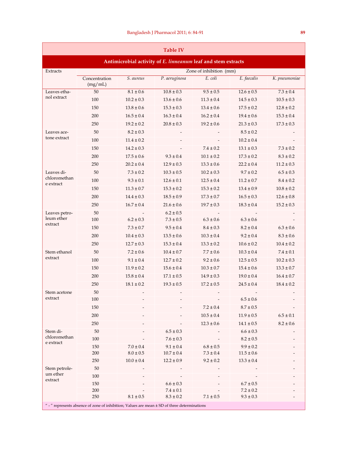| <b>Table IV</b>                                                                                  |                          |                |                                |                |                                |                |  |
|--------------------------------------------------------------------------------------------------|--------------------------|----------------|--------------------------------|----------------|--------------------------------|----------------|--|
| Antimicrobial activity of E. linneanum leaf and stem extracts                                    |                          |                |                                |                |                                |                |  |
| Extracts                                                                                         | Zone of inhibition (mm)  |                |                                |                |                                |                |  |
|                                                                                                  | Concentration<br>(mg/mL) | S. aureus      | P. aeruginosa                  | $E.$ coli      | E. faecalis                    | K. pneumoniae  |  |
| Leaves etha-                                                                                     | 50                       | $8.1 \pm 0.6$  | $10.8 \pm 0.3$                 | $9.5 \pm 0.5$  | $12.6 \pm 0.5$                 | $7.3 \pm 0.4$  |  |
| nol extract                                                                                      | 100                      | $10.2 \pm 0.3$ | $13.6 \pm 0.6$                 | $11.3 \pm 0.4$ | $14.5 \pm 0.3$                 | $10.5 \pm 0.3$ |  |
|                                                                                                  | 150                      | $13.8 \pm 0.6$ | $15.3 \pm 0.3$                 | $13.4 \pm 0.6$ | $17.5 \pm 0.2$                 | $12.8 \pm 0.2$ |  |
|                                                                                                  | 200                      | $16.5 \pm 0.4$ | $16.3 \pm 0.4$                 | $16.2 \pm 0.4$ | $19.4 \pm 0.6$                 | $15.3 \pm 0.4$ |  |
|                                                                                                  | 250                      | $19.2 \pm 0.2$ | $20.8 \pm 0.3$                 | $19.2 \pm 0.6$ | $21.3 \pm 0.3$                 | $17.3 \pm 0.3$ |  |
| Leaves ace-                                                                                      | 50                       | $8.2 \pm 0.3$  |                                |                | $8.5 \pm 0.2$                  |                |  |
| tone extract                                                                                     | 100                      | $11.4 \pm 0.2$ |                                |                | $10.2 \pm 0.4$                 |                |  |
|                                                                                                  | 150                      | $14.2 \pm 0.3$ |                                | $7.4 \pm 0.2$  | $13.1 \pm 0.3$                 | $7.3 \pm 0.2$  |  |
|                                                                                                  | 200                      | $17.5 \pm 0.6$ | $9.3 \pm 0.4$                  | $10.1 \pm 0.2$ | $17.3 \pm 0.2$                 | $8.3 \pm 0.2$  |  |
|                                                                                                  | 250                      | $20.2 \pm 0.4$ | $12.9 \pm 0.3$                 | $13.3 \pm 0.6$ | $22.2 \pm 0.4$                 | $11.2 \pm 0.3$ |  |
| Leaves di-                                                                                       | 50                       | $7.3 \pm 0.2$  | $10.3 \pm 0.5$                 | $10.2 \pm 0.3$ | $9.7 \pm 0.2$                  | $6.5\pm0.3$    |  |
| chloromethan                                                                                     | 100                      | $9.3 \pm 0.1$  | $12.6 \pm 0.1$                 | $12.5 \pm 0.4$ | $11.2 \pm 0.7$                 | $8.4 \pm 0.2$  |  |
| e extract                                                                                        | 150                      | $11.3 \pm 0.7$ | $15.3 \pm 0.2$                 | $15.3 \pm 0.2$ | $13.4 \pm 0.9$                 | $10.8 \pm 0.2$ |  |
|                                                                                                  | 200                      | $14.4 \pm 0.3$ | $18.5 \pm 0.9$                 | $17.3 \pm 0.7$ | $16.5 \pm 0.3$                 | $12.6 \pm 0.8$ |  |
|                                                                                                  | 250                      | $16.7 \pm 0.4$ | $21.6 \pm 0.6$                 | $19.7 \pm 0.3$ | $18.3 \pm 0.4$                 | $15.2 \pm 0.3$ |  |
| Leaves petro-                                                                                    | 50                       |                | $6.2 \pm 0.5$                  |                |                                |                |  |
| leum ether<br>extract                                                                            | 100                      | $6.2 \pm 0.3$  | $7.3 \pm 0.5$                  | $6.3 \pm 0.6$  | $6.3 \pm 0.6$                  |                |  |
|                                                                                                  | 150                      | $7.3 \pm 0.7$  | $9.5 \pm 0.4$                  | $8.4 \pm 0.3$  | $8.2 \pm 0.4$                  | $6.3 \pm 0.6$  |  |
|                                                                                                  | 200                      | $10.4 \pm 0.3$ | $13.5 \pm 0.6$                 | $10.3 \pm 0.4$ | $9.2 \pm 0.4$                  | $8.3 \pm 0.6$  |  |
|                                                                                                  | 250                      | $12.7 \pm 0.3$ | $15.3 \pm 0.4$                 | $13.3 \pm 0.2$ | $10.6 \pm 0.2$                 | $10.4 \pm 0.2$ |  |
| Stem ethanol                                                                                     | 50                       | $7.2 \pm 0.6$  | $10.4 \pm 0.7$                 | $7.7 \pm 0.6$  | $10.3 \pm 0.4$                 | $7.4 \pm 0.1$  |  |
| extract                                                                                          | 100                      | $9.1 \pm 0.4$  | $12.7 \pm 0.2$                 | $9.2 \pm 0.6$  | $12.5 \pm 0.5$                 | $10.2 \pm 0.3$ |  |
|                                                                                                  | 150                      | $11.9 \pm 0.2$ | $15.6 \pm 0.4$                 | $10.3 \pm 0.7$ | $15.4 \pm 0.6$                 | $13.3 \pm 0.7$ |  |
|                                                                                                  | 200                      | $15.8 \pm 0.4$ | $17.1 \pm 0.5$                 | $14.9 \pm 0.3$ | $19.0 \pm 0.4$                 | $16.4 \pm 0.7$ |  |
|                                                                                                  | 250                      | $18.1 \pm 0.2$ | $19.3 \pm 0.5$                 | $17.2 \pm 0.5$ | $24.5 \pm 0.4$                 | $18.4 \pm 0.2$ |  |
| Stem acetone                                                                                     | 50                       |                |                                |                |                                |                |  |
| extract                                                                                          | 100                      |                |                                |                | $6.5\pm0.6$                    |                |  |
|                                                                                                  | 150                      |                |                                | $7.2 \pm 0.4$  | $8.7 \pm 0.5$                  |                |  |
|                                                                                                  | $200\,$                  |                |                                | $10.5 \pm 0.4$ | $11.9 \pm 0.5$                 | $6.5 \pm 0.1$  |  |
|                                                                                                  | 250                      |                |                                | $12.3 \pm 0.6$ | $14.1 \pm 0.5$                 | $8.2 \pm 0.6$  |  |
| Stem di-                                                                                         | $50\,$                   |                | $6.5 \pm 0.3$                  |                | $6.6 \pm 0.3$                  |                |  |
| chloromethan<br>e extract                                                                        | 100                      |                | $7.6 \pm 0.3$                  |                | $8.2 \pm 0.5$                  |                |  |
|                                                                                                  | 150                      | $7.0 \pm 0.4$  | $9.1 \pm 0.4$                  | $6.8\pm0.5$    | $9.9 \pm 0.2$                  |                |  |
|                                                                                                  | $200\,$                  | $8.0\pm0.5$    | $10.7 \pm 0.4$                 | $7.3\pm0.4$    | $11.5 \pm 0.6$                 |                |  |
|                                                                                                  | 250                      | $10.0 \pm 0.4$ | $12.2 \pm 0.9$                 | $9.2 \pm 0.2$  | $13.3 \pm 0.4$                 |                |  |
| Stem petrole-<br>um ether                                                                        | 50                       |                |                                |                |                                |                |  |
| extract                                                                                          | 100                      |                |                                |                |                                |                |  |
|                                                                                                  | 150<br>200               |                | $6.6 \pm 0.3$<br>$7.4 \pm 0.1$ |                | $6.7 \pm 0.5$<br>$7.2 \pm 0.2$ |                |  |
|                                                                                                  | 250                      | $8.1\pm0.5$    | $8.3 \pm 0.2$                  | $7.1 \pm 0.5$  | $9.3 \pm 0.3$                  |                |  |
| " - " represents absence of zone of inhibition; Values are mean $\pm$ SD of three determinations |                          |                |                                |                |                                |                |  |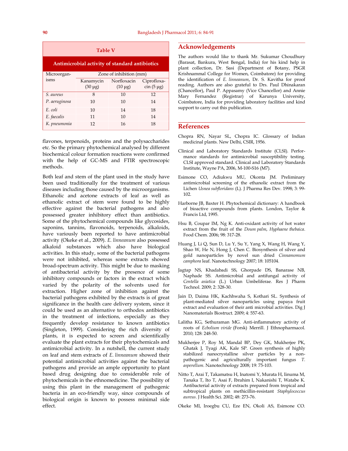| <b>Table V</b>                                 |                         |              |                 |  |  |  |  |
|------------------------------------------------|-------------------------|--------------|-----------------|--|--|--|--|
| Antimicrobial activity of standard antibiotics |                         |              |                 |  |  |  |  |
| Microorgan-                                    | Zone of inhibition (mm) |              |                 |  |  |  |  |
| isms                                           | Kanamycin               | Norfloxacin  | Ciprofloxa-     |  |  |  |  |
|                                                | $(30 \mu g)$            | $(10 \mu g)$ | $\sin(5 \mu g)$ |  |  |  |  |
| S. aureus                                      | 8                       | 10           | 12              |  |  |  |  |
| P. aeruginosa                                  | 10                      | 10           | 14              |  |  |  |  |
| E. coli                                        | 10                      | 14           | 18              |  |  |  |  |
| E. faecalis                                    | 11                      | 10           | 14              |  |  |  |  |
| K. pneumonia                                   | 12                      | 16           | 18              |  |  |  |  |

flavones, terpenoids, proteins and the polysaccharides etc. So the primary phytochemical analysed by different biochemical colour formation reactions were confirmed with the help of GC-MS and FTIR spectroscopic methods.

Both leaf and stem of the plant used in the study have been used traditionally for the treatment of various diseases including those caused by the microorganisms. Ethanolic and acetone extracts of leaf as well as ethanolic extract of stem were found to be highly effective against the bacterial pathogens and also possessed greater inhibitory effect than antibiotics. Some of the phytochemical compounds like glycosides, saponins, tannins, flavonoids, terpenoids, alkaloids, have variously been reported to have antimicrobial activity (Okeke et al., 2009). *E. linneanum* also possessed alkaloid substances which also have biological activities. In this study, some of the bacterial pathogens were not inhibited, whereas some extracts showed broad-spectrum activity. This might be due to masking of antibacterial activity by the presence of some inhibitory compounds or factors in the extract which varied by the polarity of the solvents used for extraction. Higher zone of inhibition against the bacterial pathogens exhibited by the extracts is of great significance in the health care delivery system, since it could be used as an alternative to orthodox antibiotics in the treatment of infections, especially as they frequently develop resistance to known antibiotics (Singleton, 1999). Considering the rich diversity of plants, it is expected to screen and scientifically evaluate the plant extracts for their phytochemicals and antimicrobial activity. In a nutshell, the current study on leaf and stem extracts of *E. linneanum* showed their potential antimicrobial activities against the bacterial pathogens and provide an ample opportunity to plant based drug designing due to considerable role of phytochemicals in the ethnomedicine. The possibility of using this plant in the management of pathogenic bacteria in an eco-friendly way, since compounds of biological origin is known to possess minimal side effect.

#### **Acknowledgements**

The authors would like to thank Mr. Sukumar Choudhury (Barasat, Bankura, West Bengal, India) for his kind help in plant collection, Dr. Sasi (Department of Botany, PSGR Krishnammal College for Women, Coimbatore) for providing the identification of *E. linneanum*, Dr. S. Kavitha for proof reading. Authors are also grateful to Drs. Paul Dhinakaran (Chancellor), Paul P. Appasamy (Vice Chancellor) and Annie Mary Fernandez (Registrar) of Karunya University, Coimbatore, India for providing laboratory facilities and kind support to carry out this publication.

#### **References**

- Chopra RN, Nayar SL, Chopra IC. Glossary of Indian medicinal plants. New Delhi, CSIR, 1956.
- Clinical and Laboratory Standards Institute (CLSI). Performance standards for antimicrobial susceptibility testing. CLSI approved standard. Clinical and Laboratory Standards Institute, Wayne PA, 2006, M-100-S16 (M7).
- Esimone CO, Adiukwu MU, Okonta JM. Preliminary antimicrobial screening of the ethanolic extract from the Lichen *Usnea subfloridans* (L). J Pharma Res Dev. 1998; 3: 99- 102.
- Harborne JB, Baxter H. Phytochemical dictionary: A handbook of bioactive compounds from plants. London, Taylor & Francis Ltd, 1995.
- Hsu B, Coupar IM, Ng K. Anti-oxidant activity of hot water extract from the fruit of the *Doum palm*, *Hyphaene thebaica*. Food Chem. 2006; 98: 317-28.
- Huang J, Li Q, Sun D, Lu Y, Su Y, Yang X, Wang H, Wang Y, Shao W, He N, Hong J, Chen C. Biosynthesis of silver and gold nanoparticles by novel sun dried *Cinnamomum camphora* leaf. Nanotechnology 2007; 18: 105104.
- Jagtap NS, Khadabadi SS, Ghorpade DS, Banarase NB, Naphade SS. Antimicrobial and antifungal activity of *Centella asiatica* (L.) Urban Umbeliferae. Res J Pharm Technol. 2009; 2: 328-30.
- Jain D, Daima HK, Kachhwaha S, Kothari SL. Synthesis of plant-mediated silver nanoparticles using papaya fruit extract and evaluation of their anti microbial activities. Dig J Nanomaterials Biostruct. 2009; 4: 557-63.
- Lalitha KG, Sethuraman MG. Anti-inflammatory activity of roots of *Ecbolium viride* (Forsk) Merrill. J Ethnopharmacol. 2010; 128: 248-50.
- Mukherjee P, Roy M, Mandal BP, Dey GK, Mukherjee PK, Ghatak J, Tyagi AK, Kale SP. Green synthesis of highly stabilized nanocrystalline silver particles by a nonpathogenic and agriculturally important fungus *T. asperellum*. Nanotechnology 2008; 19: 75-103.
- Nitto T, Arai T, Takamatsu H, Inatomi Y, Murata H, Iinuma M, Tanaka T, Ito T, Asai F, Ibrahim I, Nakanishi T, Watabe K. Antibacterial activity of extracts prepared from tropical and subtropical plants on methicillin-resistant *Staphylococcus aureus*. J Health Sci. 2002; 48: 273-76.
- Okeke MI, Iroegbu CU, Eze EN, Okoli AS, Esimone CO.